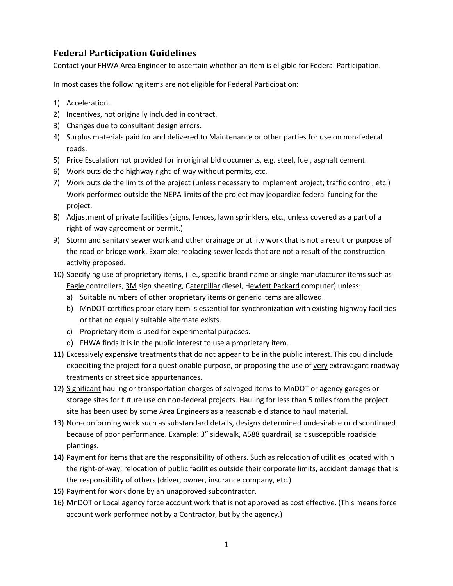## **Federal Participation Guidelines**

Contact your FHWA Area Engineer to ascertain whether an item is eligible for Federal Participation.

In most cases the following items are not eligible for Federal Participation:

- 1) Acceleration.
- 2) Incentives, not originally included in contract.
- 3) Changes due to consultant design errors.
- 4) Surplus materials paid for and delivered to Maintenance or other parties for use on non-federal roads.
- 5) Price Escalation not provided for in original bid documents, e.g. steel, fuel, asphalt cement.
- 6) Work outside the highway right-of-way without permits, etc.
- 7) Work outside the limits of the project (unless necessary to implement project; traffic control, etc.) Work performed outside the NEPA limits of the project may jeopardize federal funding for the project.
- 8) Adjustment of private facilities (signs, fences, lawn sprinklers, etc., unless covered as a part of a right-of-way agreement or permit.)
- 9) Storm and sanitary sewer work and other drainage or utility work that is not a result or purpose of the road or bridge work. Example: replacing sewer leads that are not a result of the construction activity proposed.
- 10) Specifying use of proprietary items, (i.e., specific brand name or single manufacturer items such as Eagle controllers, 3M sign sheeting, Caterpillar diesel, Hewlett Packard computer) unless:
	- a) Suitable numbers of other proprietary items or generic items are allowed.
	- b) MnDOT certifies proprietary item is essential for synchronization with existing highway facilities or that no equally suitable alternate exists.
	- c) Proprietary item is used for experimental purposes.
	- d) FHWA finds it is in the public interest to use a proprietary item.
- 11) Excessively expensive treatments that do not appear to be in the public interest. This could include expediting the project for a questionable purpose, or proposing the use of very extravagant roadway treatments or street side appurtenances.
- 12) Significant hauling or transportation charges of salvaged items to MnDOT or agency garages or storage sites for future use on non-federal projects. Hauling for less than 5 miles from the project site has been used by some Area Engineers as a reasonable distance to haul material.
- 13) Non-conforming work such as substandard details, designs determined undesirable or discontinued because of poor performance. Example: 3" sidewalk, A588 guardrail, salt susceptible roadside plantings.
- 14) Payment for items that are the responsibility of others. Such as relocation of utilities located within the right-of-way, relocation of public facilities outside their corporate limits, accident damage that is the responsibility of others (driver, owner, insurance company, etc.)
- 15) Payment for work done by an unapproved subcontractor.
- 16) MnDOT or Local agency force account work that is not approved as cost effective. (This means force account work performed not by a Contractor, but by the agency.)